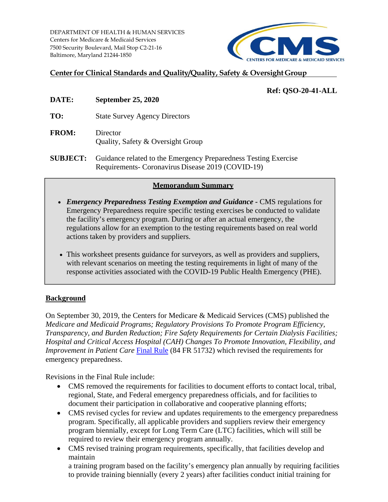Centers for Medicare & Medicaid Services DEPARTMENT OF HEALTH & HUMAN SERVICES 7500 Security Boulevard, Mail Stop C2-21-16 Baltimore, Maryland 21244-1850



## **Center for Clinical Standards and Quality/Quality, Safety & Oversight Group**

# **Ref: QSO-20-41-ALL**

- **DATE: September 25, 2020**
- **TO:** State Survey Agency Directors
- **FROM:** Director Quality, Safety & Oversight Group
- **SUBJECT:** Guidance related to the Emergency Preparedness Testing Exercise Requirements- Coronavirus Disease 2019 (COVID-19)

### **Memorandum Summary**

- *Emergency Preparedness Testing Exemption and Guidance* CMS regulations for Emergency Preparedness require specific testing exercises be conducted to validate the facility's emergency program. During or after an actual emergency, the regulations allow for an exemption to the testing requirements based on real world actions taken by providers and suppliers.
- This worksheet presents guidance for surveyors, as well as providers and suppliers, with relevant scenarios on meeting the testing requirements in light of many of the response activities associated with the COVID-19 Public Health Emergency (PHE).

## **Background**

On September 30, 2019, the Centers for Medicare & Medicaid Services (CMS) published the *Medicare and Medicaid Programs; Regulatory Provisions To Promote Program Efficiency, Transparency, and Burden Reduction; Fire Safety Requirements for Certain Dialysis Facilities; Hospital and Critical Access Hospital (CAH) Changes To Promote Innovation, Flexibility, and Improvement in Patient Care Final Rule* (84 FR 51732) which revised the requirements for emergency preparedness.

Revisions in the Final Rule include:

- CMS removed the requirements for facilities to document efforts to contact local, tribal, regional, State, and Federal emergency preparedness officials, and for facilities to document their participation in collaborative and cooperative planning efforts;
- CMS revised cycles for review and updates requirements to the emergency preparedness program. Specifically, all applicable providers and suppliers review their emergency program biennially, except for Long Term Care (LTC) facilities, which will still be required to review their emergency program annually.
- CMS revised training program requirements, specifically, that facilities develop and maintain

a training program based on the facility's emergency plan annually by requiring facilities to provide training biennially (every 2 years) after facilities conduct initial training for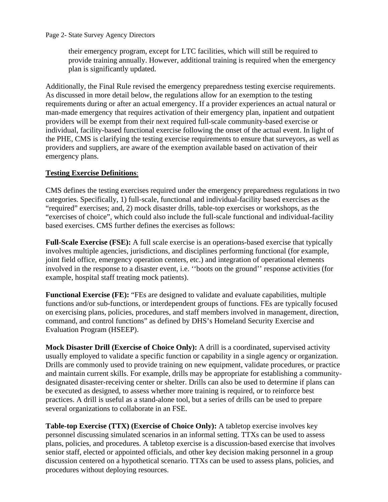Page 2- State Survey Agency Directors

their emergency program, except for LTC facilities, which will still be required to provide training annually. However, additional training is required when the emergency plan is significantly updated.

Additionally, the Final Rule revised the emergency preparedness testing exercise requirements. As discussed in more detail below, the regulations allow for an exemption to the testing requirements during or after an actual emergency. If a provider experiences an actual natural or man-made emergency that requires activation of their emergency plan, inpatient and outpatient providers will be exempt from their next required full-scale community-based exercise or individual, facility-based functional exercise following the onset of the actual event. In light of the PHE, CMS is clarifying the testing exercise requirements to ensure that surveyors, as well as providers and suppliers, are aware of the exemption available based on activation of their emergency plans.

### **Testing Exercise Definitions**:

CMS defines the testing exercises required under the emergency preparedness regulations in two categories. Specifically, 1) full-scale, functional and individual-facility based exercises as the "required" exercises; and, 2) mock disaster drills, table-top exercises or workshops, as the "exercises of choice", which could also include the full-scale functional and individual-facility based exercises. CMS further defines the exercises as follows:

**Full-Scale Exercise (FSE):** A full scale exercise is an operations-based exercise that typically involves multiple agencies, jurisdictions, and disciplines performing functional (for example, joint field office, emergency operation centers, etc.) and integration of operational elements involved in the response to a disaster event, i.e. ''boots on the ground'' response activities (for example, hospital staff treating mock patients).

**Functional Exercise (FE):** "FEs are designed to validate and evaluate capabilities, multiple functions and/or sub-functions, or interdependent groups of functions. FEs are typically focused on exercising plans, policies, procedures, and staff members involved in management, direction, command, and control functions" as defined by DHS's Homeland Security Exercise and Evaluation Program (HSEEP).

**Mock Disaster Drill (Exercise of Choice Only):** A drill is a coordinated, supervised activity usually employed to validate a specific function or capability in a single agency or organization. Drills are commonly used to provide training on new equipment, validate procedures, or practice and maintain current skills. For example, drills may be appropriate for establishing a communitydesignated disaster-receiving center or shelter. Drills can also be used to determine if plans can be executed as designed, to assess whether more training is required, or to reinforce best practices. A drill is useful as a stand-alone tool, but a series of drills can be used to prepare several organizations to collaborate in an FSE.

**Table-top Exercise (TTX) (Exercise of Choice Only):** A tabletop exercise involves key personnel discussing simulated scenarios in an informal setting. TTXs can be used to assess plans, policies, and procedures. A tabletop exercise is a discussion-based exercise that involves senior staff, elected or appointed officials, and other key decision making personnel in a group discussion centered on a hypothetical scenario. TTXs can be used to assess plans, policies, and procedures without deploying resources.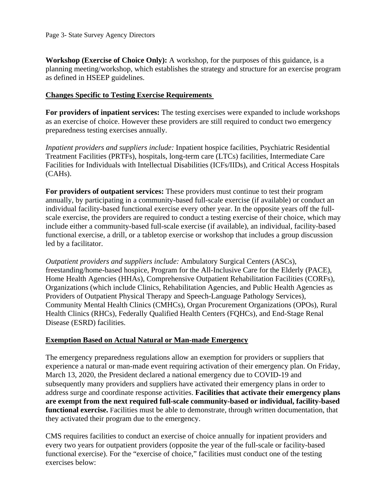**Workshop (Exercise of Choice Only):** A workshop, for the purposes of this guidance, is a planning meeting/workshop, which establishes the strategy and structure for an exercise program as defined in HSEEP guidelines.

#### **Changes Specific to Testing Exercise Requirements**

**For providers of inpatient services:** The testing exercises were expanded to include workshops as an exercise of choice. However these providers are still required to conduct two emergency preparedness testing exercises annually.

*Inpatient providers and suppliers include:* Inpatient hospice facilities, Psychiatric Residential Treatment Facilities (PRTFs), hospitals, long-term care (LTCs) facilities, Intermediate Care Facilities for Individuals with Intellectual Disabilities (ICFs/IIDs), and Critical Access Hospitals (CAHs).

**For providers of outpatient services:** These providers must continue to test their program annually, by participating in a community-based full-scale exercise (if available) or conduct an individual facility-based functional exercise every other year. In the opposite years off the fullscale exercise, the providers are required to conduct a testing exercise of their choice, which may include either a community-based full-scale exercise (if available), an individual, facility-based functional exercise, a drill, or a tabletop exercise or workshop that includes a group discussion led by a facilitator.

*Outpatient providers and suppliers include:* Ambulatory Surgical Centers (ASCs), freestanding/home-based hospice, Program for the All-Inclusive Care for the Elderly (PACE), Home Health Agencies (HHAs), Comprehensive Outpatient Rehabilitation Facilities (CORFs), Organizations (which include Clinics, Rehabilitation Agencies, and Public Health Agencies as Providers of Outpatient Physical Therapy and Speech-Language Pathology Services), Community Mental Health Clinics (CMHCs), Organ Procurement Organizations (OPOs), Rural Health Clinics (RHCs), Federally Qualified Health Centers (FQHCs), and End-Stage Renal Disease (ESRD) facilities.

### **Exemption Based on Actual Natural or Man-made Emergency**

The emergency preparedness regulations allow an exemption for providers or suppliers that experience a natural or man-made event requiring activation of their emergency plan. On Friday, March 13, 2020, the President declared a national emergency due to COVID-19 and subsequently many providers and suppliers have activated their emergency plans in order to address surge and coordinate response activities. **Facilities that activate their emergency plans are exempt from the next required full-scale community-based or individual, facility-based functional exercise.** Facilities must be able to demonstrate, through written documentation, that they activated their program due to the emergency.

CMS requires facilities to conduct an exercise of choice annually for inpatient providers and every two years for outpatient providers (opposite the year of the full-scale or facility-based functional exercise). For the "exercise of choice," facilities must conduct one of the testing exercises below: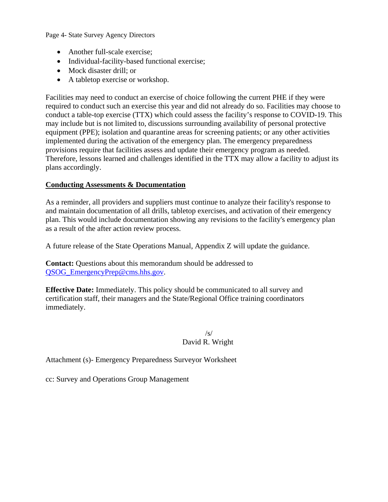Page 4- State Survey Agency Directors

- Another full-scale exercise:
- Individual-facility-based functional exercise;
- Mock disaster drill; or
- A tabletop exercise or workshop.

Facilities may need to conduct an exercise of choice following the current PHE if they were required to conduct such an exercise this year and did not already do so. Facilities may choose to conduct a table-top exercise (TTX) which could assess the facility's response to COVID-19. This may include but is not limited to, discussions surrounding availability of personal protective equipment (PPE); isolation and quarantine areas for screening patients; or any other activities implemented during the activation of the emergency plan. The emergency preparedness provisions require that facilities assess and update their emergency program as needed. Therefore, lessons learned and challenges identified in the TTX may allow a facility to adjust its plans accordingly.

### **Conducting Assessments & Documentation**

As a reminder, all providers and suppliers must continue to analyze their facility's response to and maintain documentation of all drills, tabletop exercises, and activation of their emergency plan. This would include documentation showing any revisions to the facility's emergency plan as a result of the after action review process.

A future release of the State Operations Manual, Appendix Z will update the guidance.

**Contact:** Ouestions about this memorandum should be addressed to QSOG\_EmergencyPrep@cms.hhs.gov.

**Effective Date:** Immediately. This policy should be communicated to all survey and certification staff, their managers and the State/Regional Office training coordinators immediately.

 $\sqrt{s}$ / David R. Wright

Attachment (s)- Emergency Preparedness Surveyor Worksheet

cc: Survey and Operations Group Management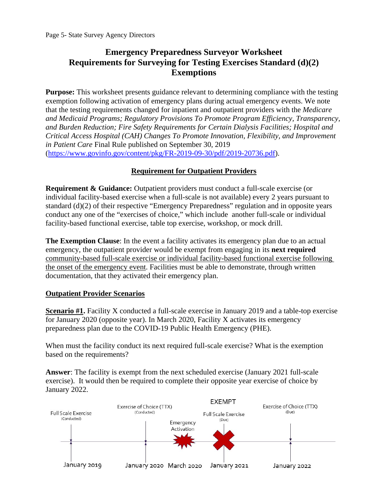# **Emergency Preparedness Surveyor Worksheet Requirements for Surveying for Testing Exercises Standard (d)(2) Exemptions**

**Purpose:** This worksheet presents guidance relevant to determining compliance with the testing exemption following activation of emergency plans during actual emergency events. We note that the testing requirements changed for inpatient and outpatient providers with the *Medicare and Medicaid Programs; Regulatory Provisions To Promote Program Efficiency, Transparency, and Burden Reduction; Fire Safety Requirements for Certain Dialysis Facilities; Hospital and Critical Access Hospital (CAH) Changes To Promote Innovation, Flexibility, and Improvement in Patient Care* Final Rule published on September 30, 2019 (https://www.govinfo.gov/content/pkg/FR-2019-09-30/pdf/2019-20736.pdf).

### **Requirement for Outpatient Providers**

**Requirement & Guidance:** Outpatient providers must conduct a full-scale exercise (or individual facility-based exercise when a full-scale is not available) every 2 years pursuant to standard (d)(2) of their respective "Emergency Preparedness" regulation and in opposite years conduct any one of the "exercises of choice," which include another full-scale or individual facility-based functional exercise, table top exercise, workshop, or mock drill.

**The Exemption Clause**: In the event a facility activates its emergency plan due to an actual emergency, the outpatient provider would be exempt from engaging in its **next required**  community-based full-scale exercise or individual facility-based functional exercise following the onset of the emergency event. Facilities must be able to demonstrate, through written documentation, that they activated their emergency plan.

### **Outpatient Provider Scenarios**

**Scenario #1.** Facility X conducted a full-scale exercise in January 2019 and a table-top exercise for January 2020 (opposite year). In March 2020, Facility X activates its emergency preparedness plan due to the COVID-19 Public Health Emergency (PHE).

When must the facility conduct its next required full-scale exercise? What is the exemption based on the requirements?

**Answer**: The facility is exempt from the next scheduled exercise (January 2021 full-scale exercise). It would then be required to complete their opposite year exercise of choice by January 2022.

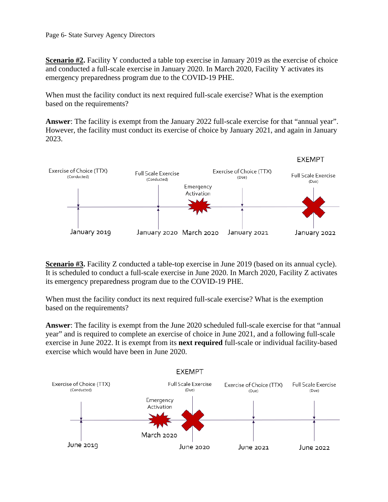**Scenario #2.** Facility Y conducted a table top exercise in January 2019 as the exercise of choice and conducted a full-scale exercise in January 2020. In March 2020, Facility Y activates its emergency preparedness program due to the COVID-19 PHE.

 based on the requirements? When must the facility conduct its next required full-scale exercise? What is the exemption

**Answer**: The facility is exempt from the January 2022 full-scale exercise for that "annual year". However, the facility must conduct its exercise of choice by January 2021, and again in January 2023.



**Scenario #3.** Facility Z conducted a table-top exercise in June 2019 (based on its annual cycle). It is scheduled to conduct a full-scale exercise in June 2020. In March 2020, Facility Z activates its emergency preparedness program due to the COVID-19 PHE.

When must the facility conduct its next required full-scale exercise? What is the exemption based on the requirements?

**Answer**: The facility is exempt from the June 2020 scheduled full-scale exercise for that "annual year" and is required to complete an exercise of choice in June 2021, and a following full-scale exercise in June 2022. It is exempt from its **next required** full-scale or individual facility-based exercise which would have been in June 2020.

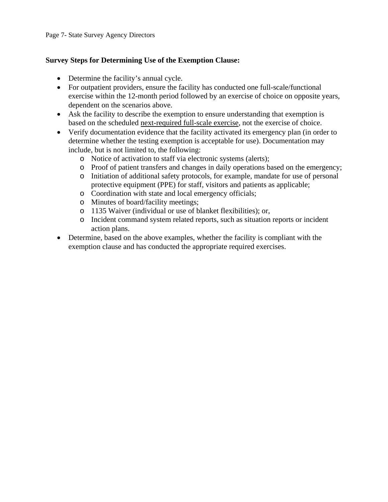### **Survey Steps for Determining Use of the Exemption Clause:**

- Determine the facility's annual cycle.
- For outpatient providers, ensure the facility has conducted one full-scale/functional exercise within the 12-month period followed by an exercise of choice on opposite years, dependent on the scenarios above.
- Ask the facility to describe the exemption to ensure understanding that exemption is based on the scheduled next-required full-scale exercise, not the exercise of choice.
- Verify documentation evidence that the facility activated its emergency plan (in order to determine whether the testing exemption is acceptable for use). Documentation may include, but is not limited to, the following:
	- o Notice of activation to staff via electronic systems (alerts);
	- o Proof of patient transfers and changes in daily operations based on the emergency;
	- o Initiation of additional safety protocols, for example, mandate for use of personal protective equipment (PPE) for staff, visitors and patients as applicable;
	- o Coordination with state and local emergency officials;
	- o Minutes of board/facility meetings;
	- o 1135 Waiver (individual or use of blanket flexibilities); or,
	- o Incident command system related reports, such as situation reports or incident action plans.
- Determine, based on the above examples, whether the facility is compliant with the exemption clause and has conducted the appropriate required exercises.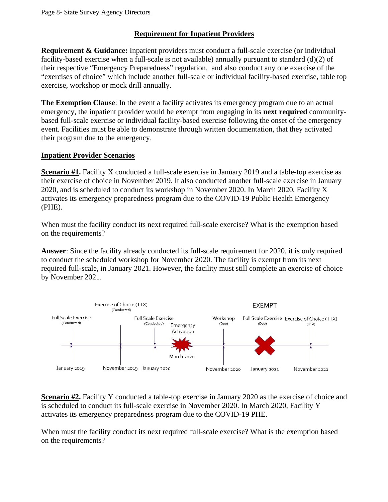## **Requirement for Inpatient Providers**

**Requirement & Guidance:** Inpatient providers must conduct a full-scale exercise (or individual facility-based exercise when a full-scale is not available) annually pursuant to standard (d)(2) of their respective "Emergency Preparedness" regulation, and also conduct any one exercise of the "exercises of choice" which include another full-scale or individual facility-based exercise, table top exercise, workshop or mock drill annually.

**The Exemption Clause**: In the event a facility activates its emergency program due to an actual emergency, the inpatient provider would be exempt from engaging in its **next required** communitybased full-scale exercise or individual facility-based exercise following the onset of the emergency event. Facilities must be able to demonstrate through written documentation, that they activated their program due to the emergency.

### **Inpatient Provider Scenarios**

**Scenario #1.** Facility X conducted a full-scale exercise in January 2019 and a table-top exercise as their exercise of choice in November 2019. It also conducted another full-scale exercise in January 2020, and is scheduled to conduct its workshop in November 2020. In March 2020, Facility X activates its emergency preparedness program due to the COVID-19 Public Health Emergency (PHE).

When must the facility conduct its next required full-scale exercise? What is the exemption based on the requirements?

**Answer**: Since the facility already conducted its full-scale requirement for 2020, it is only required to conduct the scheduled workshop for November 2020. The facility is exempt from its next required full-scale, in January 2021. However, the facility must still complete an exercise of choice by November 2021.



**Scenario #2.** Facility Y conducted a table-top exercise in January 2020 as the exercise of choice and is scheduled to conduct its full-scale exercise in November 2020. In March 2020, Facility Y activates its emergency preparedness program due to the COVID-19 PHE.

When must the facility conduct its next required full-scale exercise? What is the exemption based on the requirements?